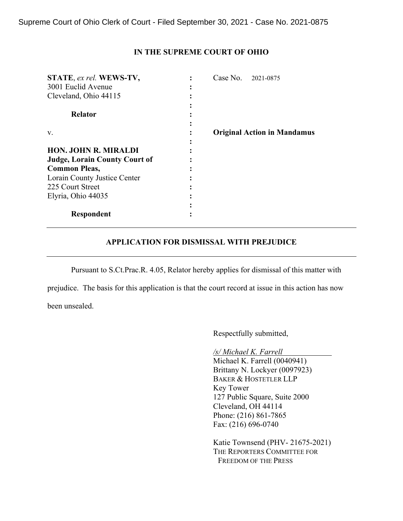## **IN THE SUPREME COURT OF OHIO**

| STATE, ex rel. WEWS-TV,              | Case No.<br>2021-0875              |
|--------------------------------------|------------------------------------|
| 3001 Euclid Avenue                   |                                    |
| Cleveland, Ohio 44115                |                                    |
| <b>Relator</b>                       |                                    |
| V.                                   | <b>Original Action in Mandamus</b> |
| <b>HON. JOHN R. MIRALDI</b>          |                                    |
| <b>Judge, Lorain County Court of</b> |                                    |
| <b>Common Pleas,</b>                 |                                    |
| Lorain County Justice Center         |                                    |
| 225 Court Street                     |                                    |
| Elyria, Ohio 44035                   |                                    |
|                                      |                                    |
| Respondent                           |                                    |

## **APPLICATION FOR DISMISSAL WITH PREJUDICE**

Pursuant to S.Ct.Prac.R. 4.05, Relator hereby applies for dismissal of this matter with

prejudice. The basis for this application is that the court record at issue in this action has now been unsealed.

Respectfully submitted,

*/s/ Michael K. Farrell*

Michael K. Farrell (0040941) Brittany N. Lockyer (0097923) BAKER & HOSTETLER LLP Key Tower 127 Public Square, Suite 2000 Cleveland, OH 44114 Phone: (216) 861-7865 Fax: (216) 696-0740

Katie Townsend (PHV- 21675-2021) THE REPORTERS COMMITTEE FOR FREEDOM OF THE PRESS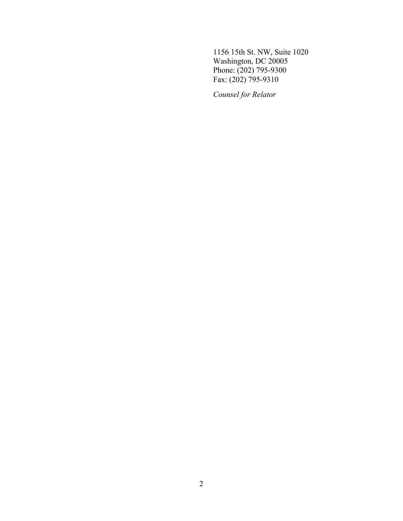1156 15th St. NW, Suite 1020 Washington, DC 20005 Phone: (202) 795-9300 Fax: (202) 795-9310

*Counsel for Relator*